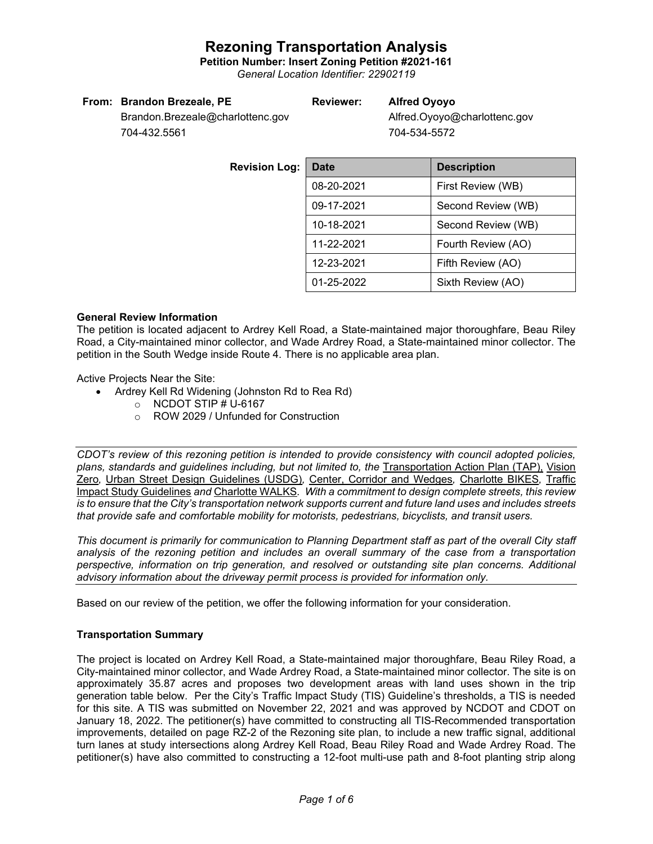**Petition Number: Insert Zoning Petition #2021-161**

*General Location Identifier: 22902119*

#### **From: Brandon Brezeale, PE**

## **Reviewer: Alfred Oyoyo**

Brandon.Brezeale@charlottenc.gov 704-432.5561

Alfred.Oyoyo@charlottenc.gov 704-534-5572

| <b>Revision Log:</b> | <b>Date</b>                      | <b>Description</b> |  |  |
|----------------------|----------------------------------|--------------------|--|--|
|                      | 08-20-2021                       | First Review (WB)  |  |  |
|                      | 09-17-2021                       | Second Review (WB) |  |  |
|                      | 10-18-2021                       | Second Review (WB) |  |  |
|                      | 11-22-2021<br>Fourth Review (AO) |                    |  |  |
|                      | 12-23-2021                       | Fifth Review (AO)  |  |  |
|                      | 01-25-2022                       | Sixth Review (AO)  |  |  |

#### **General Review Information**

The petition is located adjacent to Ardrey Kell Road, a State-maintained major thoroughfare, Beau Riley Road, a City-maintained minor collector, and Wade Ardrey Road, a State-maintained minor collector. The petition in the South Wedge inside Route 4. There is no applicable area plan.

Active Projects Near the Site:

- Ardrey Kell Rd Widening (Johnston Rd to Rea Rd)
	- $\circ$  NCDOT STIP # U-6167
	- o ROW 2029 / Unfunded for Construction

*CDOT's review of this rezoning petition is intended to provide consistency with council adopted policies,*  plans, standards and guidelines including, but not limited to, the Transportation Action Plan (TAP). Vision [Zero](https://charlottenc.gov/VisionZero/Pages/VisionZero.aspx)*,* [Urban Street Design Guidelines \(USDG\)](https://charlottenc.gov/Transportation/PlansProjects/Documents/USDG%20Full%20Document.pdf)*,* [Center, Corridor and Wedges](http://ww.charmeck.org/Planning/Land%20Use%20Planning/CentersCorridorsWedges/CentersCorridorsWedges(Adopted).pdf)*,* [Charlotte BIKES](https://charlottenc.gov/Transportation/Programs/Pages/Bicycle.aspx)*,* [Traffic](https://charlottenc.gov/Transportation/Permits/Documents/TISProcessandGuildlines.pdf)  [Impact Study Guidelines](https://charlottenc.gov/Transportation/Permits/Documents/TISProcessandGuildlines.pdf) *and* [Charlotte WALKS](https://charlottenc.gov/Transportation/Programs/Pages/CharlotteWalks.aspx)*. With a commitment to design complete streets, this review is to ensure that the City's transportation network supports current and future land uses and includes streets that provide safe and comfortable mobility for motorists, pedestrians, bicyclists, and transit users.* 

*This document is primarily for communication to Planning Department staff as part of the overall City staff analysis of the rezoning petition and includes an overall summary of the case from a transportation perspective, information on trip generation, and resolved or outstanding site plan concerns. Additional advisory information about the driveway permit process is provided for information only.*

Based on our review of the petition, we offer the following information for your consideration.

### **Transportation Summary**

The project is located on Ardrey Kell Road, a State-maintained major thoroughfare, Beau Riley Road, a City-maintained minor collector, and Wade Ardrey Road, a State-maintained minor collector. The site is on approximately 35.87 acres and proposes two development areas with land uses shown in the trip generation table below. Per the City's Traffic Impact Study (TIS) Guideline's thresholds, a TIS is needed for this site. A TIS was submitted on November 22, 2021 and was approved by NCDOT and CDOT on January 18, 2022. The petitioner(s) have committed to constructing all TIS-Recommended transportation improvements, detailed on page RZ-2 of the Rezoning site plan, to include a new traffic signal, additional turn lanes at study intersections along Ardrey Kell Road, Beau Riley Road and Wade Ardrey Road. The petitioner(s) have also committed to constructing a 12-foot multi-use path and 8-foot planting strip along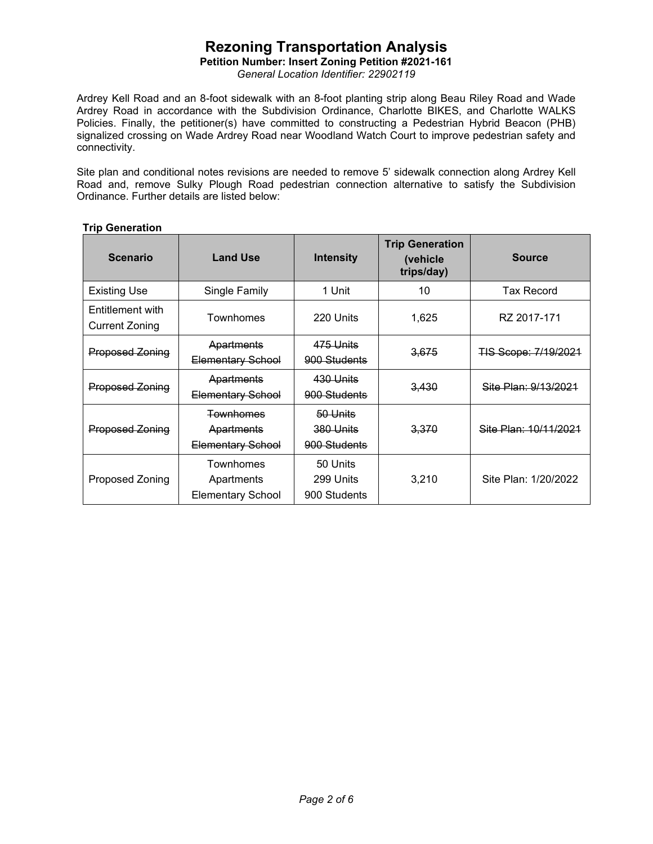## **Petition Number: Insert Zoning Petition #2021-161**

*General Location Identifier: 22902119*

Ardrey Kell Road and an 8-foot sidewalk with an 8-foot planting strip along Beau Riley Road and Wade Ardrey Road in accordance with the Subdivision Ordinance, Charlotte BIKES, and Charlotte WALKS Policies. Finally, the petitioner(s) have committed to constructing a Pedestrian Hybrid Beacon (PHB) signalized crossing on Wade Ardrey Road near Woodland Watch Court to improve pedestrian safety and connectivity.

Site plan and conditional notes revisions are needed to remove 5' sidewalk connection along Ardrey Kell Road and, remove Sulky Plough Road pedestrian connection alternative to satisfy the Subdivision Ordinance. Further details are listed below:

## **Trip Generation**

| <b>Scenario</b>                           | <b>Land Use</b>                                            | <b>Intensity</b>                      | <b>Trip Generation</b><br>(vehicle<br>trips/day) | <b>Source</b>         |
|-------------------------------------------|------------------------------------------------------------|---------------------------------------|--------------------------------------------------|-----------------------|
| <b>Existing Use</b>                       | Single Family                                              | 1 Unit                                | 10                                               | Tax Record            |
| Entitlement with<br><b>Current Zoning</b> | Townhomes                                                  | 220 Units                             | 1,625                                            | RZ 2017-171           |
| <b>Proposed Zoning</b>                    | Apartments<br><b>Elementary School</b>                     | 475 Units<br>900 Students             | 3,675                                            | TIS Scope: 7/19/2021  |
| <b>Proposed Zoning</b>                    | Apartments<br>Elementary School                            | 430 Units<br>900 Students             | 3.430                                            | Site Plan: 9/13/2021  |
| <b>Proposed Zoning</b>                    | <b>Townhomes</b><br>Apartments<br><b>Elementary School</b> | 50 Units<br>380 Units<br>900 Students | 3,370                                            | Site Plan: 10/11/2021 |
| Proposed Zoning                           | Townhomes<br>Apartments<br><b>Elementary School</b>        | 50 Units<br>299 Units<br>900 Students | 3,210                                            | Site Plan: 1/20/2022  |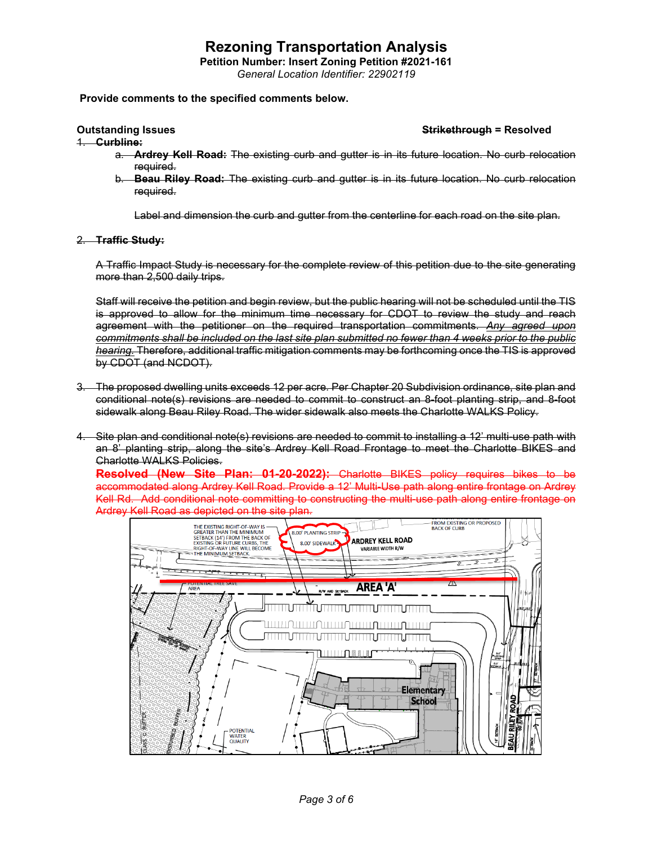**Petition Number: Insert Zoning Petition #2021-161**

*General Location Identifier: 22902119*

#### **Provide comments to the specified comments below.**

1. **Curbline:**

#### **Outstanding Issues Strikethrough = Resolved**

- a. **Ardrey Kell Road:** The existing curb and gutter is in its future location. No curb relocation required.
- b. **Beau Riley Road:** The existing curb and gutter is in its future location. No curb relocation required.

Label and dimension the curb and gutter from the centerline for each road on the site plan.

#### 2. **Traffic Study:**

A Traffic Impact Study is necessary for the complete review of this petition due to the site generating more than 2,500 daily trips.

Staff will receive the petition and begin review, but the public hearing will not be scheduled until the TIS is approved to allow for the minimum time necessary for CDOT to review the study and reach agreement with the petitioner on the required transportation commitments. *Any agreed upon commitments shall be included on the last site plan submitted no fewer than 4 weeks prior to the public hearing.* Therefore, additional traffic mitigation comments may be forthcoming once the TIS is approved by CDOT (and NCDOT).

- 3. The proposed dwelling units exceeds 12 per acre. Per Chapter 20 Subdivision ordinance, site plan and conditional note(s) revisions are needed to commit to construct an 8-foot planting strip, and 8-foot sidewalk along Beau Riley Road. The wider sidewalk also meets the Charlotte WALKS Policy.
- 4. Site plan and conditional note(s) revisions are needed to commit to installing a 12' multi-use path with an 8' planting strip, along the site's Ardrey Kell Road Frontage to meet the Charlotte BIKES and Charlotte WALKS Policies.

**Resolved (New Site Plan: 01-20-2022):** Charlotte BIKES policy requires bikes to be accommodated along Ardrey Kell Road. Provide a 12' Multi-Use path along entire frontage on Ardrey Kell Rd. Add conditional note committing to constructing the multi-use path along entire frontage on Ardrey Kell Road as depicted on the site plan.

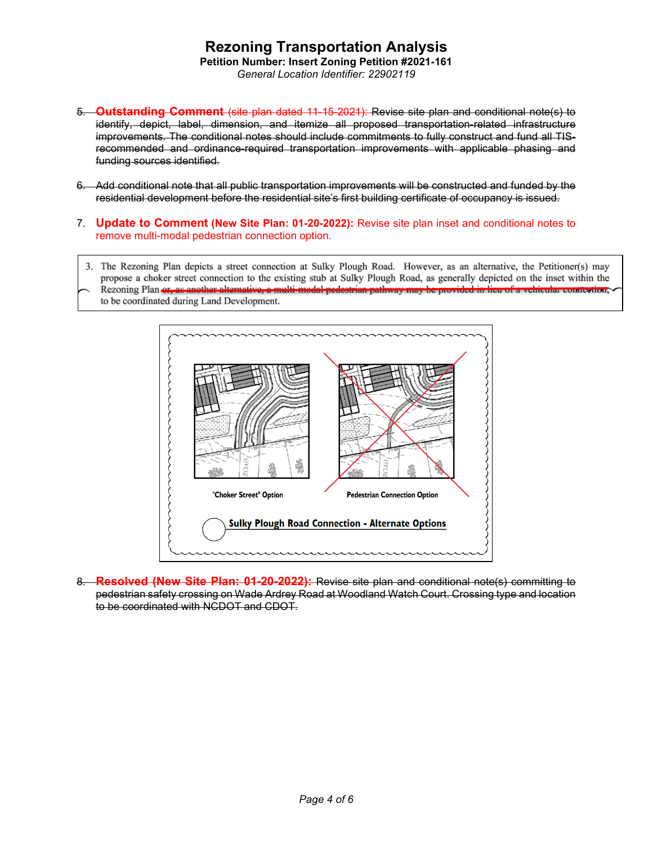## **Rezoning Transportation Analysis Petition Number: Insert Zoning Petition #2021-161**

*General Location Identifier: 22902119*

- 5. **Outstanding Comment** (site plan dated 11-15-2021): Revise site plan and conditional note(s) to identify, depict, label, dimension, and itemize all proposed transportation-related infrastructure improvements. The conditional notes should include commitments to fully construct and fund all TISrecommended and ordinance-required transportation improvements with applicable phasing and funding sources identified.
- 6. Add conditional note that all public transportation improvements will be constructed and funded by the residential development before the residential site's first building certificate of occupancy is issued.
- 7. **Update to Comment (New Site Plan: 01-20-2022):** Revise site plan inset and conditional notes to remove multi-modal pedestrian connection option.
- 3. The Rezoning Plan depicts a street connection at Sulky Plough Road. However, as an alternative, the Petitioner(s) may propose a choker street connection to the existing stub at Sulky Plough Road, as generally depicted on the inset within the
- er alternative, a multi modal pedestrian pathway may be provided in lieu of a vehicular comrection, Rezoning Plan or, as as to be coordinated during Land Development.



8. **Resolved (New Site Plan: 01-20-2022):** Revise site plan and conditional note(s) committing to pedestrian safety crossing on Wade Ardrey Road at Woodland Watch Court. Crossing type and location to be coordinated with NCDOT and CDOT.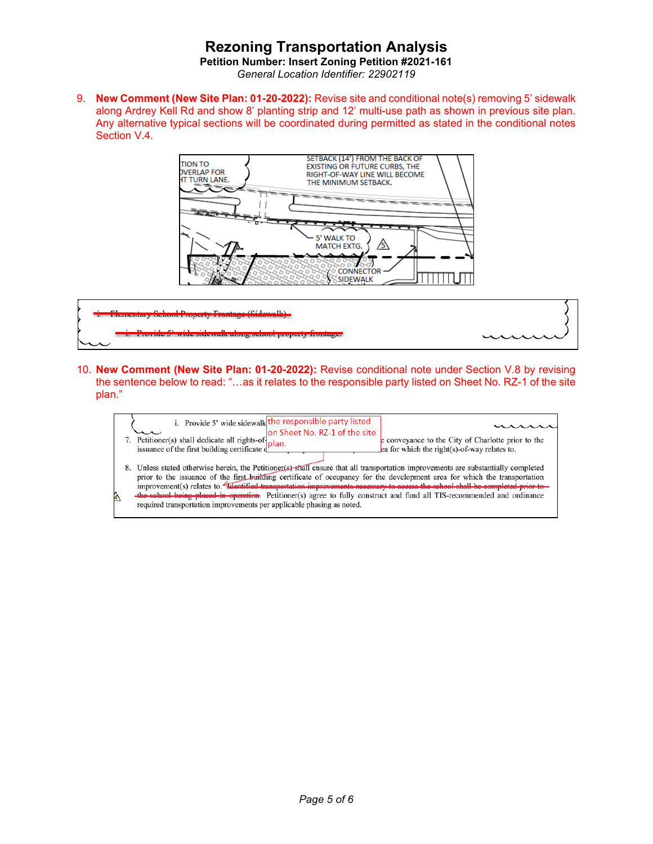**Petition Number: Insert Zoning Petition #2021-161** *General Location Identifier: 22902119*

9. **New Comment (New Site Plan: 01-20-2022):** Revise site and conditional note(s) removing 5' sidewalk along Ardrey Kell Rd and show 8' planting strip and 12' multi-use path as shown in previous site plan. Any alternative typical sections will be coordinated during permitted as stated in the conditional notes Section V.4.





10. **New Comment (New Site Plan: 01-20-2022):** Revise conditional note under Section V.8 by revising the sentence below to read: "…as it relates to the responsible party listed on Sheet No. RZ-1 of the site plan."